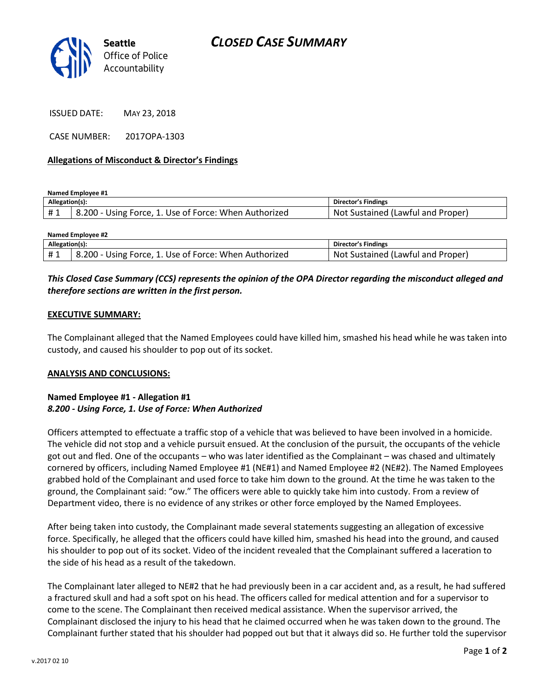

ISSUED DATE: MAY 23, 2018

CASE NUMBER: 2017OPA-1303

### **Allegations of Misconduct & Director's Findings**

**Named Employee #1**

| Allegation(s): |                                                                | Director's Findings                     |
|----------------|----------------------------------------------------------------|-----------------------------------------|
|                | ∵ - 200. ن<br>- Using Force, 1. Use of Force: When Authorized. | : Sustained (Lawful and Proper)<br>Not. |

| <b>Named Employee #2</b> |                                                       |                                   |  |
|--------------------------|-------------------------------------------------------|-----------------------------------|--|
| Allegation(s):           |                                                       | Director's Findings               |  |
| #1                       | 8.200 - Using Force, 1. Use of Force: When Authorized | Not Sustained (Lawful and Proper) |  |

# *This Closed Case Summary (CCS) represents the opinion of the OPA Director regarding the misconduct alleged and therefore sections are written in the first person.*

#### **EXECUTIVE SUMMARY:**

The Complainant alleged that the Named Employees could have killed him, smashed his head while he was taken into custody, and caused his shoulder to pop out of its socket.

#### **ANALYSIS AND CONCLUSIONS:**

## **Named Employee #1 - Allegation #1** *8.200 - Using Force, 1. Use of Force: When Authorized*

Officers attempted to effectuate a traffic stop of a vehicle that was believed to have been involved in a homicide. The vehicle did not stop and a vehicle pursuit ensued. At the conclusion of the pursuit, the occupants of the vehicle got out and fled. One of the occupants – who was later identified as the Complainant – was chased and ultimately cornered by officers, including Named Employee #1 (NE#1) and Named Employee #2 (NE#2). The Named Employees grabbed hold of the Complainant and used force to take him down to the ground. At the time he was taken to the ground, the Complainant said: "ow." The officers were able to quickly take him into custody. From a review of Department video, there is no evidence of any strikes or other force employed by the Named Employees.

After being taken into custody, the Complainant made several statements suggesting an allegation of excessive force. Specifically, he alleged that the officers could have killed him, smashed his head into the ground, and caused his shoulder to pop out of its socket. Video of the incident revealed that the Complainant suffered a laceration to the side of his head as a result of the takedown.

The Complainant later alleged to NE#2 that he had previously been in a car accident and, as a result, he had suffered a fractured skull and had a soft spot on his head. The officers called for medical attention and for a supervisor to come to the scene. The Complainant then received medical assistance. When the supervisor arrived, the Complainant disclosed the injury to his head that he claimed occurred when he was taken down to the ground. The Complainant further stated that his shoulder had popped out but that it always did so. He further told the supervisor